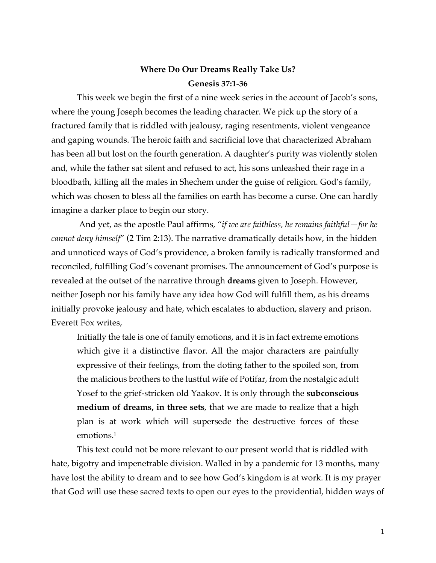# **Where Do Our Dreams Really Take Us? Genesis 37:1-36**

This week we begin the first of a nine week series in the account of Jacob's sons, where the young Joseph becomes the leading character. We pick up the story of a fractured family that is riddled with jealousy, raging resentments, violent vengeance and gaping wounds. The heroic faith and sacrificial love that characterized Abraham has been all but lost on the fourth generation. A daughter's purity was violently stolen and, while the father sat silent and refused to act, his sons unleashed their rage in a bloodbath, killing all the males in Shechem under the guise of religion. God's family, which was chosen to bless all the families on earth has become a curse. One can hardly imagine a darker place to begin our story.

And yet, as the apostle Paul affirms, "*if we are faithless, he remains faithful—for he cannot deny himself*" (2 Tim 2:13). The narrative dramatically details how, in the hidden and unnoticed ways of God's providence, a broken family is radically transformed and reconciled, fulfilling God's covenant promises. The announcement of God's purpose is revealed at the outset of the narrative through **dreams** given to Joseph. However, neither Joseph nor his family have any idea how God will fulfill them, as his dreams initially provoke jealousy and hate, which escalates to abduction, slavery and prison. Everett Fox writes,

Initially the tale is one of family emotions, and it is in fact extreme emotions which give it a distinctive flavor. All the major characters are painfully expressive of their feelings, from the doting father to the spoiled son, from the malicious brothers to the lustful wife of Potifar, from the nostalgic adult Yosef to the grief-stricken old Yaakov. It is only through the **subconscious medium of dreams, in three sets**, that we are made to realize that a high plan is at work which will supersede the destructive forces of these emotions.<sup>1</sup>

This text could not be more relevant to our present world that is riddled with hate, bigotry and impenetrable division. Walled in by a pandemic for 13 months, many have lost the ability to dream and to see how God's kingdom is at work. It is my prayer that God will use these sacred texts to open our eyes to the providential, hidden ways of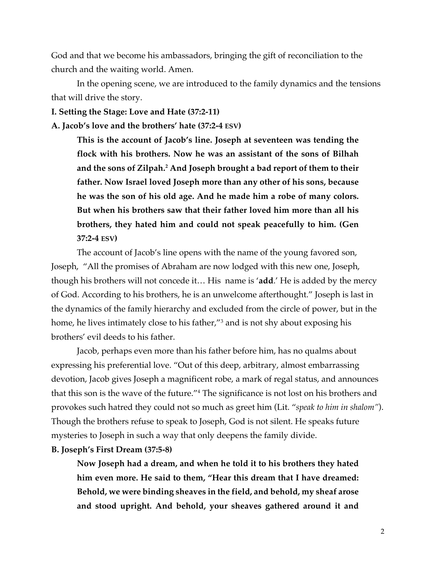God and that we become his ambassadors, bringing the gift of reconciliation to the church and the waiting world. Amen.

In the opening scene, we are introduced to the family dynamics and the tensions that will drive the story.

**I. Setting the Stage: Love and Hate (37:2-11)**

**A. Jacob's love and the brothers' hate (37:2-4 ESV)**

**This is the account of Jacob's line. Joseph at seventeen was tending the flock with his brothers. Now he was an assistant of the sons of Bilhah and the sons of Zilpah.2 And Joseph brought a bad report of them to their father. Now Israel loved Joseph more than any other of his sons, because he was the son of his old age. And he made him a robe of many colors. But when his brothers saw that their father loved him more than all his brothers, they hated him and could not speak peacefully to him. (Gen 37:2-4 ESV)**

The account of Jacob's line opens with the name of the young favored son, Joseph, "All the promises of Abraham are now lodged with this new one, Joseph, though his brothers will not concede it… His name is '**add**.' He is added by the mercy of God. According to his brothers, he is an unwelcome afterthought." Joseph is last in the dynamics of the family hierarchy and excluded from the circle of power, but in the home, he lives intimately close to his father,"<sup>3</sup> and is not shy about exposing his brothers' evil deeds to his father.

Jacob, perhaps even more than his father before him, has no qualms about expressing his preferential love. "Out of this deep, arbitrary, almost embarrassing devotion, Jacob gives Joseph a magnificent robe, a mark of regal status, and announces that this son is the wave of the future."4 The significance is not lost on his brothers and provokes such hatred they could not so much as greet him (Lit. "*speak to him in shalom"*). Though the brothers refuse to speak to Joseph, God is not silent. He speaks future mysteries to Joseph in such a way that only deepens the family divide.

### **B. Joseph's First Dream (37:5-8)**

**Now Joseph had a dream, and when he told it to his brothers they hated him even more. He said to them, "Hear this dream that I have dreamed: Behold, we were binding sheaves in the field, and behold, my sheaf arose and stood upright. And behold, your sheaves gathered around it and**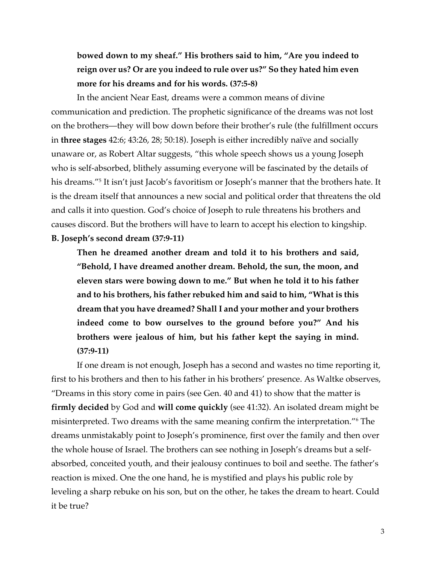**bowed down to my sheaf." His brothers said to him, "Are you indeed to reign over us? Or are you indeed to rule over us?" So they hated him even more for his dreams and for his words. (37:5-8)**

In the ancient Near East, dreams were a common means of divine communication and prediction. The prophetic significance of the dreams was not lost on the brothers—they will bow down before their brother's rule (the fulfillment occurs in **three stages** 42:6; 43:26, 28; 50:18). Joseph is either incredibly naïve and socially unaware or, as Robert Altar suggests, "this whole speech shows us a young Joseph who is self-absorbed, blithely assuming everyone will be fascinated by the details of his dreams."5 It isn't just Jacob's favoritism or Joseph's manner that the brothers hate. It is the dream itself that announces a new social and political order that threatens the old and calls it into question. God's choice of Joseph to rule threatens his brothers and causes discord. But the brothers will have to learn to accept his election to kingship. **B. Joseph's second dream (37:9-11)**

**Then he dreamed another dream and told it to his brothers and said, "Behold, I have dreamed another dream. Behold, the sun, the moon, and eleven stars were bowing down to me." But when he told it to his father and to his brothers, his father rebuked him and said to him, "What is this dream that you have dreamed? Shall I and your mother and your brothers indeed come to bow ourselves to the ground before you?" And his brothers were jealous of him, but his father kept the saying in mind. (37:9-11)**

If one dream is not enough, Joseph has a second and wastes no time reporting it, first to his brothers and then to his father in his brothers' presence. As Waltke observes, "Dreams in this story come in pairs (see Gen. 40 and 41) to show that the matter is **firmly decided** by God and **will come quickly** (see 41:32). An isolated dream might be misinterpreted. Two dreams with the same meaning confirm the interpretation."6 The dreams unmistakably point to Joseph's prominence, first over the family and then over the whole house of Israel. The brothers can see nothing in Joseph's dreams but a selfabsorbed, conceited youth, and their jealousy continues to boil and seethe. The father's reaction is mixed. One the one hand, he is mystified and plays his public role by leveling a sharp rebuke on his son, but on the other, he takes the dream to heart. Could it be true?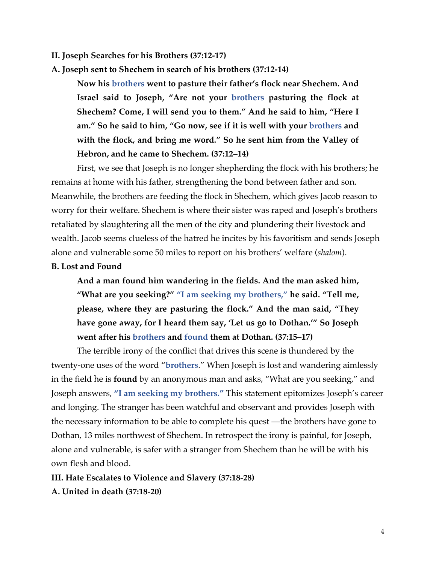#### **II. Joseph Searches for his Brothers (37:12-17)**

**A. Joseph sent to Shechem in search of his brothers (37:12-14)**

**Now his brothers went to pasture their father's flock near Shechem. And Israel said to Joseph, "Are not your brothers pasturing the flock at Shechem? Come, I will send you to them." And he said to him, "Here I am." So he said to him, "Go now, see if it is well with your brothers and with the flock, and bring me word." So he sent him from the Valley of Hebron, and he came to Shechem. (37:12–14)**

First, we see that Joseph is no longer shepherding the flock with his brothers; he remains at home with his father, strengthening the bond between father and son. Meanwhile, the brothers are feeding the flock in Shechem, which gives Jacob reason to worry for their welfare. Shechem is where their sister was raped and Joseph's brothers retaliated by slaughtering all the men of the city and plundering their livestock and wealth. Jacob seems clueless of the hatred he incites by his favoritism and sends Joseph alone and vulnerable some 50 miles to report on his brothers' welfare (*shalom*).

#### **B. Lost and Found**

**And a man found him wandering in the fields. And the man asked him, "What are you seeking?" "I am seeking my brothers," he said. "Tell me, please, where they are pasturing the flock." And the man said, "They have gone away, for I heard them say, 'Let us go to Dothan.'" So Joseph went after his brothers and found them at Dothan. (37:15–17)**

The terrible irony of the conflict that drives this scene is thundered by the twenty-one uses of the word "**brothers**." When Joseph is lost and wandering aimlessly in the field he is **found** by an anonymous man and asks, "What are you seeking," and Joseph answers, **"I am seeking my brothers."** This statement epitomizes Joseph's career and longing. The stranger has been watchful and observant and provides Joseph with the necessary information to be able to complete his quest —the brothers have gone to Dothan, 13 miles northwest of Shechem. In retrospect the irony is painful, for Joseph, alone and vulnerable, is safer with a stranger from Shechem than he will be with his own flesh and blood.

**III. Hate Escalates to Violence and Slavery (37:18-28)**

**A. United in death (37:18-20)**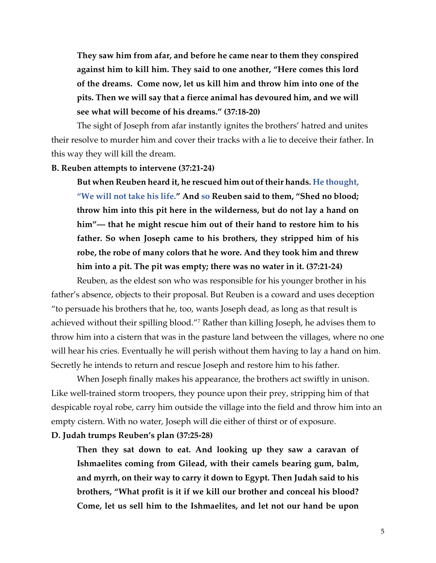**They saw him from afar, and before he came near to them they conspired against him to kill him. They said to one another, "Here comes this lord of the dreams. Come now, let us kill him and throw him into one of the pits. Then we will say that a fierce animal has devoured him, and we will see what will become of his dreams." (37:18-20)**

The sight of Joseph from afar instantly ignites the brothers' hatred and unites their resolve to murder him and cover their tracks with a lie to deceive their father. In this way they will kill the dream.

#### **B. Reuben attempts to intervene (37:21-24)**

**But when Reuben heard it, he rescued him out of their hands. He thought, "We will not take his life." And so Reuben said to them, "Shed no blood; throw him into this pit here in the wilderness, but do not lay a hand on him"— that he might rescue him out of their hand to restore him to his father. So when Joseph came to his brothers, they stripped him of his robe, the robe of many colors that he wore. And they took him and threw him into a pit. The pit was empty; there was no water in it. (37:21-24)**

Reuben*,* as the eldest son who was responsible for his younger brother in his father's absence, objects to their proposal. But Reuben is a coward and uses deception "to persuade his brothers that he, too, wants Joseph dead, as long as that result is achieved without their spilling blood."7 Rather than killing Joseph, he advises them to throw him into a cistern that was in the pasture land between the villages, where no one will hear his cries. Eventually he will perish without them having to lay a hand on him. Secretly he intends to return and rescue Joseph and restore him to his father.

When Joseph finally makes his appearance, the brothers act swiftly in unison. Like well-trained storm troopers, they pounce upon their prey, stripping him of that despicable royal robe, carry him outside the village into the field and throw him into an empty cistern. With no water, Joseph will die either of thirst or of exposure.

## **D. Judah trumps Reuben's plan (37:25-28)**

**Then they sat down to eat. And looking up they saw a caravan of Ishmaelites coming from Gilead, with their camels bearing gum, balm, and myrrh, on their way to carry it down to Egypt. Then Judah said to his brothers, "What profit is it if we kill our brother and conceal his blood? Come, let us sell him to the Ishmaelites, and let not our hand be upon**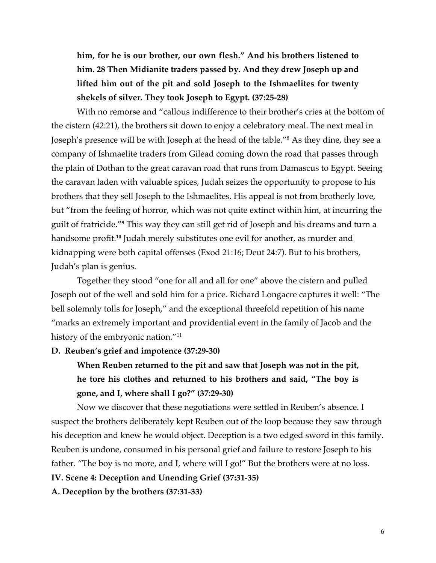**him, for he is our brother, our own flesh." And his brothers listened to him. 28 Then Midianite traders passed by. And they drew Joseph up and lifted him out of the pit and sold Joseph to the Ishmaelites for twenty shekels of silver. They took Joseph to Egypt. (37:25-28)**

With no remorse and "callous indifference to their brother's cries at the bottom of the cistern (42:21), the brothers sit down to enjoy a celebratory meal. The next meal in Joseph's presence will be with Joseph at the head of the table."8 As they dine, they see a company of Ishmaelite traders from Gilead coming down the road that passes through the plain of Dothan to the great caravan road that runs from Damascus to Egypt. Seeing the caravan laden with valuable spices, Judah seizes the opportunity to propose to his brothers that they sell Joseph to the Ishmaelites. His appeal is not from brotherly love, but "from the feeling of horror, which was not quite extinct within him, at incurring the guilt of fratricide."**<sup>9</sup>** This way they can still get rid of Joseph and his dreams and turn a handsome profit. **<sup>10</sup>** Judah merely substitutes one evil for another, as murder and kidnapping were both capital offenses (Exod 21:16; Deut 24:7). But to his brothers, Judah's plan is genius.

Together they stood "one for all and all for one" above the cistern and pulled Joseph out of the well and sold him for a price. Richard Longacre captures it well: "The bell solemnly tolls for Joseph," and the exceptional threefold repetition of his name "marks an extremely important and providential event in the family of Jacob and the history of the embryonic nation."11

### **D. Reuben's grief and impotence (37:29-30)**

**When Reuben returned to the pit and saw that Joseph was not in the pit, he tore his clothes and returned to his brothers and said, "The boy is gone, and I, where shall I go?" (37:29-30)**

Now we discover that these negotiations were settled in Reuben's absence. I suspect the brothers deliberately kept Reuben out of the loop because they saw through his deception and knew he would object. Deception is a two edged sword in this family. Reuben is undone, consumed in his personal grief and failure to restore Joseph to his father. "The boy is no more, and I, where will I go!" But the brothers were at no loss. **IV. Scene 4: Deception and Unending Grief (37:31-35)**

**A. Deception by the brothers (37:31-33)**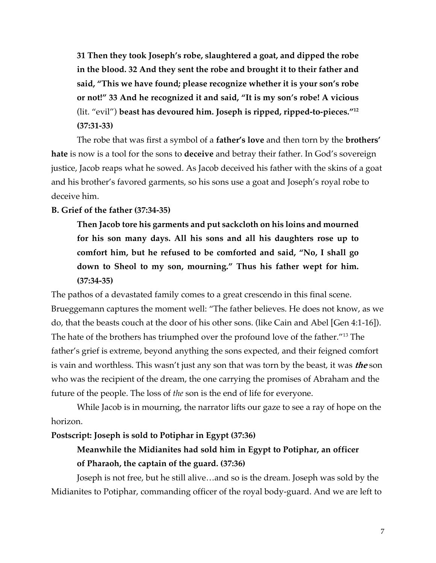**31 Then they took Joseph's robe, slaughtered a goat, and dipped the robe in the blood. 32 And they sent the robe and brought it to their father and said, "This we have found; please recognize whether it is your son's robe or not!" 33 And he recognized it and said, "It is my son's robe! A vicious** (lit. "evil") **beast has devoured him. Joseph is ripped, ripped-to-pieces."12 (37:31-33)**

The robe that was first a symbol of a **father's love** and then torn by the **brothers' hate** is now is a tool for the sons to **deceive** and betray their father. In God's sovereign justice, Jacob reaps what he sowed. As Jacob deceived his father with the skins of a goat and his brother's favored garments, so his sons use a goat and Joseph's royal robe to deceive him.

# **B. Grief of the father (37:34-35)**

**Then Jacob tore his garments and put sackcloth on his loins and mourned for his son many days. All his sons and all his daughters rose up to comfort him, but he refused to be comforted and said, "No, I shall go down to Sheol to my son, mourning." Thus his father wept for him. (37:34-35)**

The pathos of a devastated family comes to a great crescendo in this final scene. Brueggemann captures the moment well: "The father believes. He does not know, as we do, that the beasts couch at the door of his other sons. (like Cain and Abel [Gen 4:1-16]). The hate of the brothers has triumphed over the profound love of the father."13 The father's grief is extreme, beyond anything the sons expected, and their feigned comfort is vain and worthless. This wasn't just any son that was torn by the beast, it was **the** son who was the recipient of the dream, the one carrying the promises of Abraham and the future of the people. The loss of *the* son is the end of life for everyone.

While Jacob is in mourning, the narrator lifts our gaze to see a ray of hope on the horizon.

# **Postscript: Joseph is sold to Potiphar in Egypt (37:36)**

# **Meanwhile the Midianites had sold him in Egypt to Potiphar, an officer of Pharaoh, the captain of the guard. (37:36)**

Joseph is not free, but he still alive…and so is the dream. Joseph was sold by the Midianites to Potiphar, commanding officer of the royal body-guard. And we are left to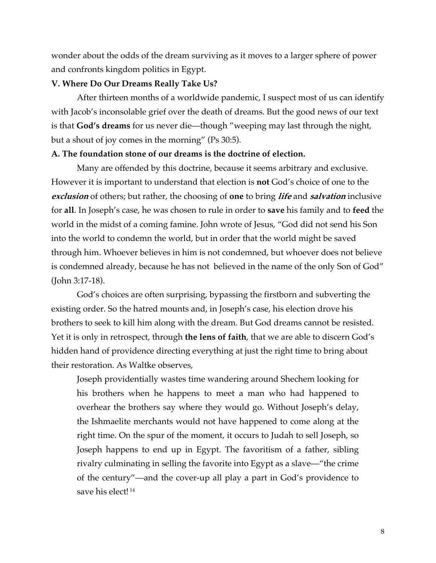wonder about the odds of the dream surviving as it moves to a larger sphere of power and confronts kingdom politics in Egypt.

# **V. Where Do Our Dreams Really Take Us?**

After thirteen months of a worldwide pandemic, I suspect most of us can identify with Jacob's inconsolable grief over the death of dreams. But the good news of our text is that **God's dreams** for us never die—though "weeping may last through the night, but a shout of joy comes in the morning" (Ps 30:5).

# **A. The foundation stone of our dreams is the doctrine of election.**

Many are offended by this doctrine, because it seems arbitrary and exclusive. However it is important to understand that election is **not** God's choice of one to the **exclusion** of others; but rather, the choosing of **one** to bring **life** and **salvation** inclusive for **all**. In Joseph's case, he was chosen to rule in order to **save** his family and to **feed** the world in the midst of a coming famine. John wrote of Jesus, "God did not send his Son into the world to condemn the world, but in order that the world might be saved through him. Whoever believes in him is not condemned, but whoever does not believe is condemned already, because he has not believed in the name of the only Son of God" (John 3:17-18).

God's choices are often surprising, bypassing the firstborn and subverting the existing order. So the hatred mounts and, in Joseph's case, his election drove his brothers to seek to kill him along with the dream. But God dreams cannot be resisted. Yet it is only in retrospect, through **the lens of faith**, that we are able to discern God's hidden hand of providence directing everything at just the right time to bring about their restoration. As Waltke observes,

Joseph providentially wastes time wandering around Shechem looking for his brothers when he happens to meet a man who had happened to overhear the brothers say where they would go. Without Joseph's delay, the Ishmaelite merchants would not have happened to come along at the right time. On the spur of the moment, it occurs to Judah to sell Joseph, so Joseph happens to end up in Egypt. The favoritism of a father, sibling rivalry culminating in selling the favorite into Egypt as a slave—"the crime of the century"—and the cover-up all play a part in God's providence to save his elect!<sup>14</sup>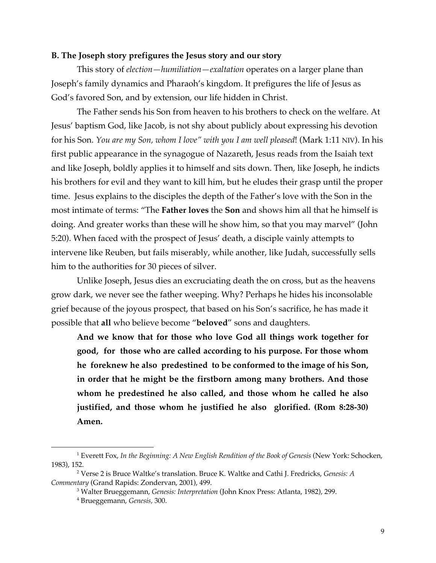#### **B. The Joseph story prefigures the Jesus story and our story**

This story of *election—humiliation—exaltation* operates on a larger plane than Joseph's family dynamics and Pharaoh's kingdom. It prefigures the life of Jesus as God's favored Son, and by extension, our life hidden in Christ.

The Father sends his Son from heaven to his brothers to check on the welfare. At Jesus' baptism God, like Jacob, is not shy about publicly about expressing his devotion for his Son. *You are my Son, whom I love" with you I am well pleased*! (Mark 1:11 NIV). In his first public appearance in the synagogue of Nazareth, Jesus reads from the Isaiah text and like Joseph, boldly applies it to himself and sits down. Then, like Joseph, he indicts his brothers for evil and they want to kill him, but he eludes their grasp until the proper time. Jesus explains to the disciples the depth of the Father's love with the Son in the most intimate of terms: "The **Father loves** the **Son** and shows him all that he himself is doing. And greater works than these will he show him, so that you may marvel" (John 5:20). When faced with the prospect of Jesus' death, a disciple vainly attempts to intervene like Reuben, but fails miserably, while another, like Judah, successfully sells him to the authorities for 30 pieces of silver.

Unlike Joseph, Jesus dies an excruciating death the on cross, but as the heavens grow dark, we never see the father weeping. Why? Perhaps he hides his inconsolable grief because of the joyous prospect, that based on his Son's sacrifice, he has made it possible that **all** who believe become "**beloved**" sons and daughters.

**And we know that for those who love God all things work together for good, for those who are called according to his purpose. For those whom he foreknew he also predestined to be conformed to the image of his Son, in order that he might be the firstborn among many brothers. And those whom he predestined he also called, and those whom he called he also justified, and those whom he justified he also glorified. (Rom 8:28-30) Amen.**

<sup>1</sup> Everett Fox, *In the Beginning: A New English Rendition of the Book of Genesis* (New York: Schocken, 1983), 152.

<sup>2</sup> Verse 2 is Bruce Waltke's translation. Bruce K. Waltke and Cathi J. Fredricks, *Genesis: A Commentary* (Grand Rapids: Zondervan, 2001), 499.

<sup>3</sup> Walter Brueggemann, *Genesis: Interpretation* (John Knox Press: Atlanta, 1982), 299.

<sup>4</sup> Brueggemann, *Genesis,* 300.